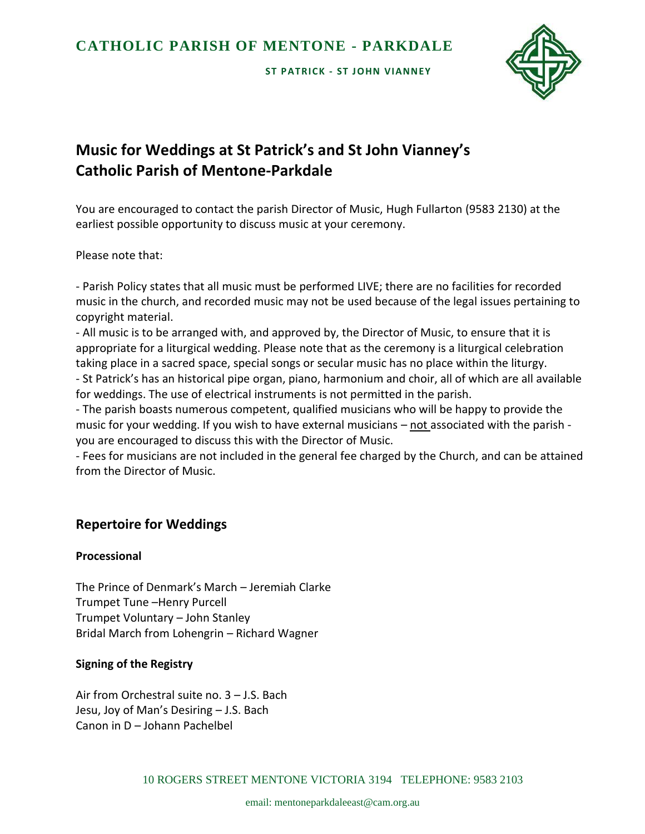**ST PATRICK - ST J OHN VIANNEY**



# **Music for Weddings at St Patrick's and St John Vianney's Catholic Parish of Mentone-Parkdale**

You are encouraged to contact the parish Director of Music, Hugh Fullarton (9583 2130) at the earliest possible opportunity to discuss music at your ceremony.

Please note that:

- Parish Policy states that all music must be performed LIVE; there are no facilities for recorded music in the church, and recorded music may not be used because of the legal issues pertaining to copyright material.

- All music is to be arranged with, and approved by, the Director of Music, to ensure that it is appropriate for a liturgical wedding. Please note that as the ceremony is a liturgical celebration taking place in a sacred space, special songs or secular music has no place within the liturgy. - St Patrick's has an historical pipe organ, piano, harmonium and choir, all of which are all available for weddings. The use of electrical instruments is not permitted in the parish.

- The parish boasts numerous competent, qualified musicians who will be happy to provide the music for your wedding. If you wish to have external musicians – not associated with the parish you are encouraged to discuss this with the Director of Music.

- Fees for musicians are not included in the general fee charged by the Church, and can be attained from the Director of Music.

## **Repertoire for Weddings**

#### **Processional**

The Prince of Denmark's March – Jeremiah Clarke Trumpet Tune –Henry Purcell Trumpet Voluntary – John Stanley Bridal March from Lohengrin – Richard Wagner

## **Signing of the Registry**

Air from Orchestral suite no. 3 – J.S. Bach Jesu, Joy of Man's Desiring – J.S. Bach Canon in D – Johann Pachelbel